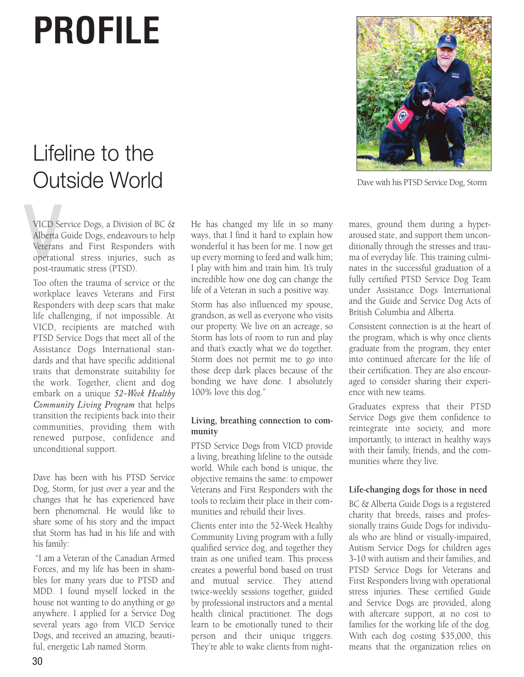## **PROFILE**

## Lifeline to the Outside World

VICD Se<br>Alberta<br>Veterans<br>operatic<br>nost tran VICD Service Dogs, a Division of BC & Alberta Guide Dogs, endeavours to help Veterans and First Responders with operational stress injuries, such as post-traumatic stress (PTSD).

Too often the trauma of service or the workplace leaves Veterans and First Responders with deep scars that make life challenging, if not impossible. At VICD, recipients are matched with PTSD Service Dogs that meet all of the Assistance Dogs International standards and that have specific additional traits that demonstrate suitability for the work. Together, client and dog embark on a unique *52-Week Healthy Community Living Program* that helps transition the recipients back into their communities, providing them with renewed purpose, confidence and unconditional support.

Dave has been with his PTSD Service Dog, Storm, for just over a year and the changes that he has experienced have been phenomenal. He would like to share some of his story and the impact that Storm has had in his life and with his family:

 "I am a Veteran of the Canadian Armed Forces, and my life has been in shambles for many years due to PTSD and MDD. I found myself locked in the house not wanting to do anything or go anywhere. I applied for a Service Dog several years ago from VICD Service Dogs, and received an amazing, beautiful, energetic Lab named Storm.

He has changed my life in so many ways, that I find it hard to explain how wonderful it has been for me. I now get up every morning to feed and walk him; I play with him and train him. It's truly incredible how one dog can change the life of a Veteran in such a positive way.

Storm has also influenced my spouse, grandson, as well as everyone who visits our property. We live on an acreage, so Storm has lots of room to run and play and that's exactly what we do together. Storm does not permit me to go into those deep dark places because of the bonding we have done. I absolutely 100% love this dog."

## **Living, breathing connection to community**

PTSD Service Dogs from VICD provide a living, breathing lifeline to the outside world. While each bond is unique, the objective remains the same: to empower Veterans and First Responders with the tools to reclaim their place in their communities and rebuild their lives.

Clients enter into the 52-Week Healthy Community Living program with a fully qualified service dog, and together they train as one unified team. This process creates a powerful bond based on trust and mutual service. They attend twice-weekly sessions together, guided by professional instructors and a mental health clinical practitioner. The dogs learn to be emotionally tuned to their person and their unique triggers. They're able to wake clients from night-



Dave with his PTSD Service Dog, Storm

mares, ground them during a hyperaroused state, and support them unconditionally through the stresses and trauma of everyday life. This training culminates in the successful graduation of a fully certified PTSD Service Dog Team under Assistance Dogs International and the Guide and Service Dog Acts of British Columbia and Alberta.

Consistent connection is at the heart of the program, which is why once clients graduate from the program, they enter into continued aftercare for the life of their certification. They are also encouraged to consider sharing their experience with new teams.

Graduates express that their PTSD Service Dogs give them confidence to reintegrate into society, and more importantly, to interact in healthy ways with their family, friends, and the communities where they live.

## **Life-changing dogs for those in need**

BC & Alberta Guide Dogs is a registered charity that breeds, raises and professionally trains Guide Dogs for individuals who are blind or visually-impaired, Autism Service Dogs for children ages 3-10 with autism and their families, and PTSD Service Dogs for Veterans and First Responders living with operational stress injuries. These certified Guide and Service Dogs are provided, along with aftercare support, at no cost to families for the working life of the dog. With each dog costing \$35,000, this means that the organization relies on